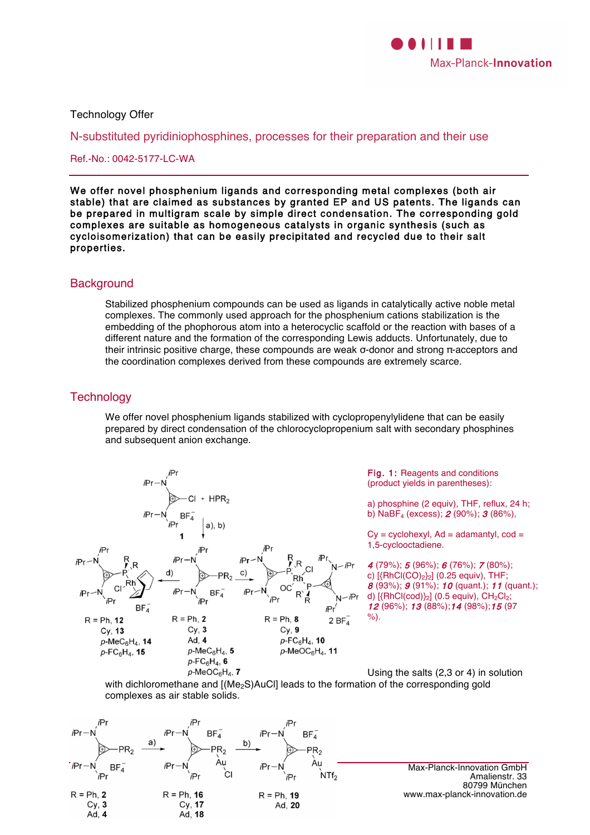

#### Technology Offer

N-substituted pyridiniophosphines, processes for their preparation and their use

Ref.-No.: 0042-5177-LC-WA

We offer novel phosphenium ligands and corresponding metal complexes (both air stable) that are claimed as substances by granted EP and US patents. The ligands can be prepared in multigram scale by simple direct condensation. The corresponding gold complexes are suitable as homogeneous catalysts in organic synthesis (such as cycloisomerization) that can be easily precipitated and recycled due to their salt properties.

## **Background**

Stabilized phosphenium compounds can be used as ligands in catalytically active noble metal complexes. The commonly used approach for the phosphenium cations stabilization is the embedding of the phophorous atom into a heterocyclic scaffold or the reaction with bases of a different nature and the formation of the corresponding Lewis adducts. Unfortunately, due to their intrinsic positive charge, these compounds are weak σ-donor and strong π-acceptors and the coordination complexes derived from these compounds are extremely scarce.

# **Technology**

We offer novel phosphenium ligands stabilized with cyclopropenylylidene that can be easily prepared by direct condensation of the chlorocyclopropenium salt with secondary phosphines and subsequent anion exchange.



Fig. 1: Reagents and conditions (product yields in parentheses):

a) phosphine (2 equiv), THF, reflux, 24 h; b) NaBF<sub>4</sub> (excess); **2** (90%); **3** (86%),

 $Cv = cvclohexvl$ ,  $Ad = adamantvl$ ,  $cod =$ 1,5-cyclooctadiene.

4 (79%); 5 (96%); 6 (76%); <sup>7</sup> (80%); c)  $[{RhCl(CO)<sub>2</sub>}<sub>2</sub>]$  (0.25 equiv), THF; 8 (93%);  $9$  (91%);  $10$  (quant.);  $11$  (quant.); d)  $[\text{RhCl}(\text{cod})]_2]$  (0.5 equiv),  $\text{CH}_2\text{Cl}_2$ ; 12 (96%); 13 (88%);14 (98%);15 (97 %).

Using the salts (2,3 or 4) in solution with dichloromethane and  $[(Me<sub>2</sub>S)AuCl]$  leads to the formation of the corresponding gold complexes as air stable solids.



Seite 1 von 3 Max-Planck-Innovation GmbH Amalienstr. 33 80799 München www.max-planck-innovation.de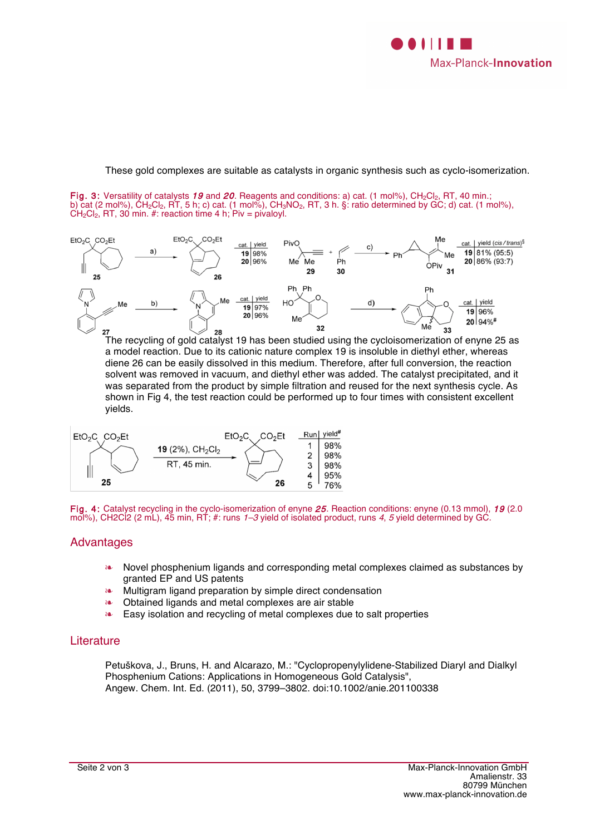

#### These gold complexes are suitable as catalysts in organic synthesis such as cyclo-isomerization.

Fig. 3: Versatility of catalysts 19 and 20. Reagents and conditions: a) cat. (1 mol%), CH<sub>2</sub>Cl<sub>2</sub>, RT, 40 min.; b) cat (2 mol%), CH<sub>2</sub>Cl<sub>2</sub>, RT, 5 h; c) cat. (1 mol%), CH<sub>3</sub>NO<sub>2</sub>, RT, 3 h. §: ratio determined by GC; d) cat. (1 mol%),  $CH_2Cl_2$ , RT, 30 min. #: reaction time 4 h; Piv = pivaloyl.



27<br>The recycling of gold catalyst 19 has been studied using the cycloisomerization of enyne 25 as a model reaction. Due to its cationic nature complex 19 is insoluble in diethyl ether, whereas diene 26 can be easily dissolved in this medium. Therefore, after full conversion, the reaction solvent was removed in vacuum, and diethyl ether was added. The catalyst precipitated, and it was separated from the product by simple filtration and reused for the next synthesis cycle. As shown in Fig 4, the test reaction could be performed up to four times with consistent excellent yields.



Fig. 4: Catalyst recycling in the cyclo-isomerization of enyne 25. Reaction conditions: enyne (0.13 mmol), 19 (2.0 mol%), CH2Cl2 (2 mL), 45 min, RT; #: runs 1-3 yield of isolated product, runs 4, 5 yield determined by GC.

### Advantages

- ❧ Novel phosphenium ligands and corresponding metal complexes claimed as substances by granted EP and US patents
- ❧ Multigram ligand preparation by simple direct condensation
- ❧ Obtained ligands and metal complexes are air stable
- ❧ Easy isolation and recycling of metal complexes due to salt properties

### Literature

Petuškova, J., Bruns, H. and Alcarazo, M.: "Cyclopropenylylidene-Stabilized Diaryl and Dialkyl Phosphenium Cations: Applications in Homogeneous Gold Catalysis", Angew. Chem. Int. Ed. (2011), 50, 3799–3802. doi:10.1002/anie.201100338